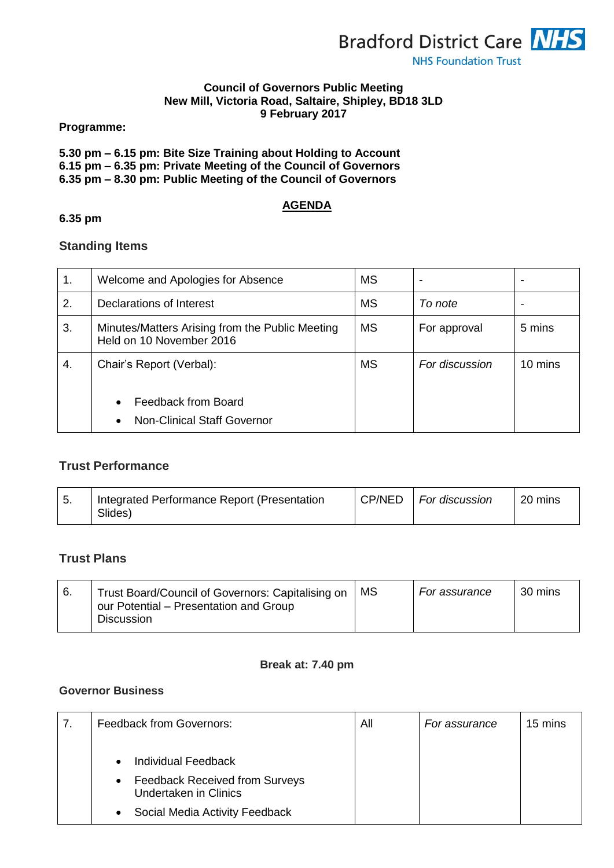

#### **Council of Governors Public Meeting New Mill, Victoria Road, Saltaire, Shipley, BD18 3LD 9 February 2017**

**Programme:**

|  | 5.30 pm – 6.15 pm: Bite Size Training about Holding to Account |
|--|----------------------------------------------------------------|
|  | 6.15 pm – 6.35 pm: Private Meeting of the Council of Governors |
|  |                                                                |

**6.35 pm – 8.30 pm: Public Meeting of the Council of Governors**

### **AGENDA**

#### **6.35 pm**

# **Standing Items**

| 1. | Welcome and Apologies for Absence                                           | <b>MS</b> |                | $\,$    |
|----|-----------------------------------------------------------------------------|-----------|----------------|---------|
| 2. | Declarations of Interest                                                    | <b>MS</b> | To note        | $\,$    |
| 3. | Minutes/Matters Arising from the Public Meeting<br>Held on 10 November 2016 | <b>MS</b> | For approval   | 5 mins  |
| 4. | Chair's Report (Verbal):                                                    | <b>MS</b> | For discussion | 10 mins |
|    | Feedback from Board<br><b>Non-Clinical Staff Governor</b>                   |           |                |         |

# **Trust Performance**

| . ب | Integrated Performance Report (Presentation<br>Slides) | CP/NED | For discussion | 20 mins |
|-----|--------------------------------------------------------|--------|----------------|---------|
|-----|--------------------------------------------------------|--------|----------------|---------|

# **Trust Plans**

| -6. | Trust Board/Council of Governors: Capitalising on<br>our Potential – Presentation and Group | MS . | For assurance | 30 mins |
|-----|---------------------------------------------------------------------------------------------|------|---------------|---------|
|     | <b>Discussion</b>                                                                           |      |               |         |

#### **Break at: 7.40 pm**

### **Governor Business**

| <b>Feedback from Governors:</b>                                                    | All | For assurance | 15 mins |
|------------------------------------------------------------------------------------|-----|---------------|---------|
| <b>Individual Feedback</b><br>$\bullet$                                            |     |               |         |
| <b>Feedback Received from Surveys</b><br>$\bullet$<br><b>Undertaken in Clinics</b> |     |               |         |
| Social Media Activity Feedback<br>$\bullet$                                        |     |               |         |